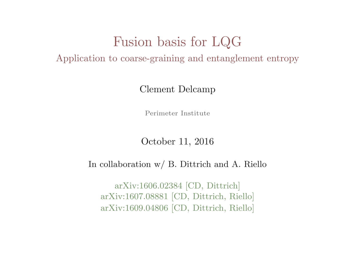# Fusion basis for LQG

Application to coarse-graining and entanglement entropy

Clement Delcamp

Perimeter Institute

October 11, 2016

#### In collaboration w/ B. Dittrich and A. Riello

arXiv:1606.02384 [CD, Dittrich] arXiv:1607.08881 [CD, Dittrich, Riello] arXiv:1609.04806 [CD, Dittrich, Riello]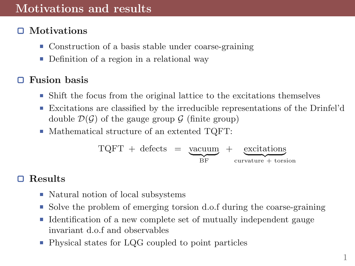# Motivations and results

#### Motivations

- Construction of a basis stable under coarse-graining
- Definition of a region in a relational way

#### Fusion basis

- $\blacksquare$  Shift the focus from the original lattice to the excitations themselves
- Excitations are classified by the irreducible representations of the Drinfel'd double  $\mathcal{D}(\mathcal{G})$  of the gauge group  $\mathcal{G}$  (finite group)
- $\blacksquare$  Mathematical structure of an extented TQFT:

$$
TQFT + defects = \underbrace{xacuum}_{BF} + \underbrace{excitations}_{curvature + torsion}
$$

#### Results n

- Natural notion of local subsystems
- Solve the problem of emerging torsion d.o.f during the coarse-graining
- $\blacksquare$  Identification of a new complete set of mutually independent gauge invariant d.o.f and observables
- Physical states for LQG coupled to point particles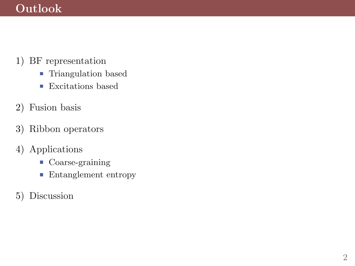# Outlook

- 1) BF representation
	- $\blacksquare$  <br> Triangulation based
	- **Excitations based**
- 2) Fusion basis
- 3) Ribbon operators
- 4) Applications
	- Coarse-graining
	- Entanglement entropy
- 5) Discussion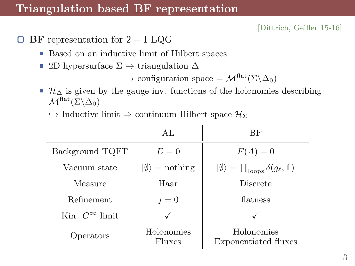#### Triangulation based BF representation

[Dittrich, Geiller 15-16]

- **BF** representation for  $2 + 1$  LQG о
	- Based on an inductive limit of Hilbert spaces ш
	- 2D hypersurface  $\Sigma \rightarrow \text{triangulation } \Delta$

 $\rightarrow$  configuration space =  $\mathcal{M}^{\text{flat}}(\Sigma \backslash \Delta_0)$ 

 $\mathcal{H}_{\Delta}$  is given by the gauge inv. functions of the holonomies describing  $\mathcal{M}^{\text{flat}}(\Sigma \backslash \Delta_0)$ 

 $\hookrightarrow$  Inductive limit  $\Rightarrow$  continuum Hilbert space  $\mathcal{H}_{\Sigma}$ 

|                          | AL.                           | BF                                                             |
|--------------------------|-------------------------------|----------------------------------------------------------------|
| Background TQFT          | $E=0$                         | $F(A)=0$                                                       |
| Vacuum state             | $ \emptyset\rangle$ = nothing | $ \emptyset\rangle = \prod_{\text{loops}} \delta(g_{\ell}, 1)$ |
| Measure                  | Haar                          | Discrete                                                       |
| Refinement               | $i=0$                         | flatness                                                       |
| Kin. $C^{\infty}$ limit. |                               |                                                                |
| Operators                | Holonomies<br>Fluxes          | Holonomies<br>Exponentiated fluxes                             |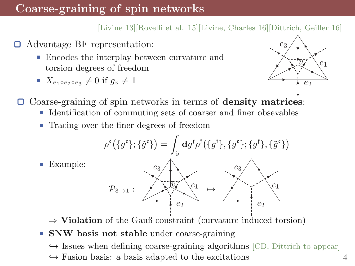# Coarse-graining of spin networks

#### [Livine 13][Rovelli et al. 15][Livine, Charles 16][Dittrich, Geiller 16]

- Advantage BF representation: о
	- Encodes the interplay between curvature and torsion degrees of freedom
	- $X_{e_1 \circ e_2 \circ e_3} \neq 0$  if  $g_v \neq \mathbb{1}$



□ Coarse-graining of spin networks in terms of **density matrices**:

- Identification of commuting sets of coarser and finer obsevables
- Tracing over the finer degrees of freedom



Ш Example:

 $\Rightarrow$  Violation of the Gauß constraint (curvature induced torsion)

**SNW** basis not stable under coarse-graining

 $\hookrightarrow$  Issues when defining coarse-graining algorithms [CD, Dittrich to appear]

 $\hookrightarrow$  Fusion basis: a basis adapted to the excitations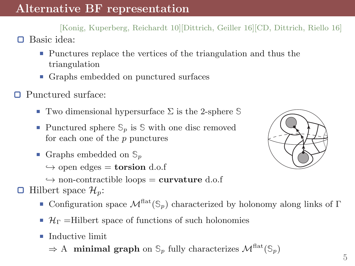[Konig, Kuperberg, Reichardt 10][Dittrich, Geiller 16][CD, Dittrich, Riello 16] Basic idea:

- Punctures replace the vertices of the triangulation and thus the triangulation
- Graphs embedded on punctured surfaces
- □ Punctured surface:

o

- Two dimensional hypersurface Σ is the 2-sphere **S**
- **Punctured sphere**  $\mathcal{S}_p$  **is**  $\mathcal{S}$  **with one disc removed** for each one of the  $p$  punctures
- Graphs embedded on **S**<sup>p</sup>

 $\hookrightarrow$  open edges = **torsion** d.o.f

- $\rightarrow$  non-contractible loops = curvature d.o.f
- $\Box$  Hilbert space  $\mathcal{H}_p$ :
	- **Configuration space**  $\mathcal{M}^{\text{flat}}(\mathcal{S}_p)$  **characterized by holonomy along links of Γ**
	- $\mathcal{H}_{\Gamma} =$ Hilbert space of functions of such holonomies
	- $\blacksquare$  Inductive limit

 $\Rightarrow$  A **minimal graph** on  $\mathcal{S}_p$  fully characterizes  $\mathcal{M}^{\text{flat}}(\mathcal{S}_n)$ 

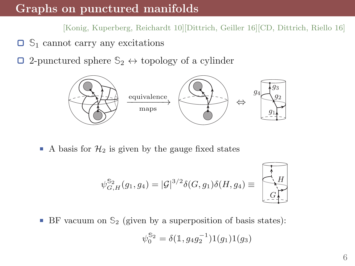#### Graphs on punctured manifolds

[Konig, Kuperberg, Reichardt 10][Dittrich, Geiller 16][CD, Dittrich, Riello 16]

- **S**<sup>1</sup> cannot carry any excitations
- $\Box$ 2-punctured sphere  $\mathbb{S}_2 \leftrightarrow$  topology of a cylinder



A basis for  $\mathcal{H}_2$  is given by the gauge fixed states

$$
\psi_{G,H}^{\mathbb{S}_2}(g_1,g_4)=|\mathcal{G}|^{3/2}\delta(G,g_1)\delta(H,g_4)\equiv\left[\begin{matrix} \overbrace{g_1,\dots,g_d}^H\\ \overbrace{g_1,\dots,g_d}^H\end{matrix}\right]
$$

BF vacuum on  $\mathcal{S}_2$  (given by a superposition of basis states): ш

$$
\psi_0^{S_2} = \delta(\mathbb{1}, g_4 g_2^{-1}) 1(g_1) 1(g_3)
$$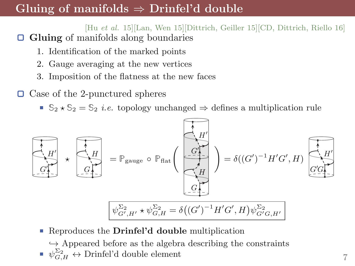### Gluing of manifolds  $\Rightarrow$  Drinfel'd double

[Hu et al. 15][Lan, Wen 15][Dittrich, Geiller 15][CD, Dittrich, Riello 16] ο Gluing of manifolds along boundaries

- 1. Identification of the marked points
- 2. Gauge averaging at the new vertices
- 3. Imposition of the flatness at the new faces

□ Case of the 2-punctured spheres

■  $\mathbb{S}_2 \star \mathbb{S}_2 = \mathbb{S}_2$  *i.e.* topology unchanged  $\Rightarrow$  defines a multiplication rule



- Reproduces the Drinfel'd double multiplication
	- $\hookrightarrow$  Appeared before as the algebra describing the constraints  $\psi_{G,H}^{\Sigma_2} \leftrightarrow$  Drinfel'd double element 7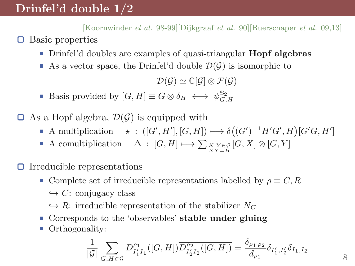# Drinfel'd double 1/2

о

[Koornwinder el al. 98-99][Dijkgraaf et al. 90][Buerschaper el al. 09,13] Basic properties

- Drinfel'd doubles are examples of quasi-triangular Hopf algebras П
- As a vector space, the Drinfel'd double  $\mathcal{D}(\mathcal{G})$  is isomorphic to

 $\mathcal{D}(\mathcal{G}) \simeq \mathbb{C}[\mathcal{G}] \otimes \mathcal{F}(\mathcal{G})$ 

Basis provided by  $[G, H] \equiv G \otimes \delta_H \longleftrightarrow \psi_{G,H}^{\mathbb{S}_2}$ 

 $\Box$  As a Hopf algebra,  $\mathcal{D}(\mathcal{G})$  is equipped with

- A multiplication  $\star : ([G', H'], [G, H]) \longrightarrow \delta((G')^{-1}H'G', H)[G'G, H']$
- A comultiplication  $\Delta : [G,H] \longmapsto \sum_{X,Y \in \mathcal{G}} [G,X] \otimes [G,Y]$

◘ Irreducible representations

- Complete set of irreducible representations labelled by  $\rho \equiv C, R$  $\hookrightarrow C$ : conjugacy class
	- $\hookrightarrow R$ : irreducible representation of the stabilizer  $N_C$
- Corresponds to the 'observables' stable under gluing
- Orthogonality:

$$
\frac{1}{|\mathcal{G}|}\sum_{G,H\in\mathcal{G}}D^{\rho_1}_{I'_1I_1}([G,H])\overline{D^{\rho_2}_{I'_2I_2}([G,H])}=\frac{\delta_{\rho_1\,\rho_2}}{d_{\rho_1}}\delta_{I'_1,I'_2}\delta_{I_1,I_2}
$$

8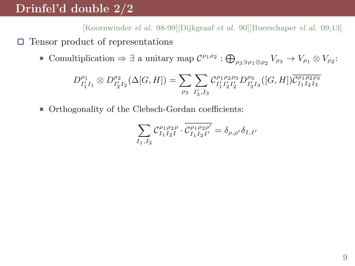# Drinfel'd double 2/2

[Koornwinder el al. 98-99][Dijkgraaf et al. 90][Buerschaper el al. 09,13]  $\Box$  Tensor product of representations

Comultiplication  $\Rightarrow \exists$  a unitary map  $C^{\rho_1 \rho_2} : \bigoplus_{\rho_3 \ni \rho_1 \otimes \rho_2} V_{\rho_3} \to V_{\rho_1} \otimes V_{\rho_2}$ :

$$
D_{I'_1I_1}^{\rho_1} \otimes D_{I'_2I_2}^{\rho_2}(\Delta[G,H]) = \sum_{\rho_3} \sum_{I'_3,I_3} \mathcal{C}_{I'_1I'_2I'_2}^{\rho_1\rho_2\rho_3} D_{I'_3I_3}^{\rho_3}([G,H]) \overline{\mathcal{C}_{I_1I_2I_3}^{\rho_1\rho_2\rho_3}}
$$

■ Orthogonality of the Clebsch-Gordan coefficients:

$$
\sum_{I_1,I_2} \mathcal{C}^{\rho_1 \rho_2 \rho}_{I_1 I_2 I} \cdot \overline{\mathcal{C}^{\rho_1 \rho_2 \rho'}_{I_1 I_2 I'}} = \delta_{\rho,\rho'} \delta_{I,I'}
$$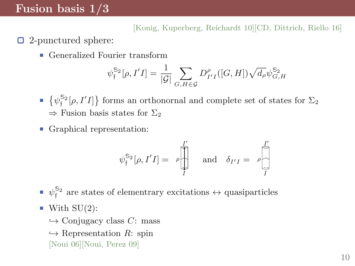### Fusion basis 1/3

#### [Konig, Kuperberg, Reichardt 10][CD, Dittrich, Riello 16]

- 2-punctured sphere:
	- Generalized Fourier transform

$$
\psi_{\mathfrak{f}}^{\mathfrak{S}_2}[\rho, I'I] = \frac{1}{|\mathcal{G}|} \sum_{G, H \in \mathcal{G}} D_{I'I}^{\rho}([G, H]) \sqrt{d_{\rho}} \psi_{G, H}^{\mathfrak{S}_2}
$$

- $\{\psi_j^{\mathbb{S}_2}[\rho, I'I]\}\)$  forms an orthonornal and complete set of states for  $\Sigma_2$  $\Rightarrow$  Fusion basis states for  $\Sigma_2$
- Graphical representation:

$$
\psi_{\mathfrak{f}}^{\mathbb{S}_2}[\rho, I'I] = \rho \begin{bmatrix} I' \\ \vdots \\ I \end{bmatrix} \quad \text{and} \quad \delta_{I'I} = \rho \begin{bmatrix} I' \\ \vdots \\ I \end{bmatrix}
$$

 $\psi_{\mathfrak{f}}^{\mathbb{S}_2}$  are states of elementrary excitations  $\leftrightarrow$  quasiparticles

- $\blacksquare$  With SU(2):
	- $\hookrightarrow$  Conjugacy class C: mass
	- $\hookrightarrow$  Representation R: spin [Noui 06][Noui, Perez 09]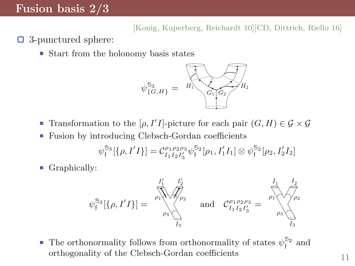### Fusion basis 2/3

[Konig, Kuperberg, Reichardt 10][CD, Dittrich, Riello 16]

- 3-punctured sphere: о
	- $\blacksquare$  Start from the holonomy basis states



- Transformation to the  $[\rho, I'I]$ -picture for each pair  $(G, H) \in \mathcal{G} \times \mathcal{G}$
- Fusion by introducing Clebsch-Gordan coefficients Ш

$$
\psi_{\mathfrak{f}}^{\mathbb{S}_3}[\{\rho, I'I\}] = \mathcal{C}_{I_1 I_2 I'_3}^{\rho_1 \rho_2 \rho_3} \psi_{\mathfrak{f}}^{\mathbb{S}_2}[\rho_1, I'_1 I_1] \otimes \psi_{\mathfrak{f}}^{\mathbb{S}_2}[\rho_2, I'_2 I_2]
$$

Graphically:



The orthonormality follows from orthonormality of states  $\psi_{\mathfrak{f}}^{\mathbb{S}_2}$  and orthogonality of the Clebsch-Gordan coefficients  $11$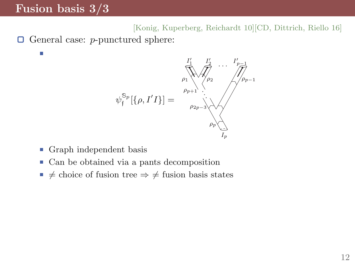### Fusion basis 3/3

m,

[Konig, Kuperberg, Reichardt 10][CD, Dittrich, Riello 16]  $\Box$  General case: *p*-punctured sphere:



- Graph independent basis ш
- Can be obtained via a pants decomposition Ш
- $\neq$  choice of fusion tree  $\Rightarrow \neq$  fusion basis states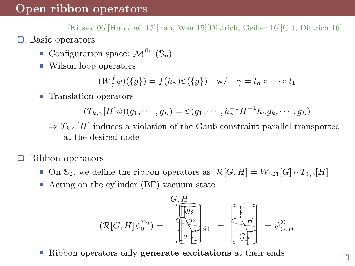[Kitaev 06][Hu et al. 15][Lan, Wen 15][Dittrich, Geiller 16][CD, Dittrich 16] Basic operators

- **Configuration space:**  $\mathcal{M}^{\text{flat}}(\mathbb{S}_p)$
- Wilson loop operators

 $(W^f_\gamma \psi)(\lbrace g \rbrace) = f(h_\gamma) \psi(\lbrace g \rbrace) \quad w / \quad \gamma = l_n \circ \cdots \circ l_1$ 

■ Translation operators

$$
(T_{k,\gamma}[H]\psi)(g_1,\cdots,g_L)=\psi(g_1,\cdots,h_{\gamma}^{-1}H^{-1}h_{\gamma}g_k,\cdots,g_L)
$$

- $\Rightarrow T_{k,\gamma}[H]$  induces a violation of the Gauß constraint parallel transported at the desired node
- Ω Ribbon operators

о

- **■** On  $\mathbb{S}_2$ , we define the ribbon operators as  $\mathcal{R}[G, H] = W_{321}[G] \circ T_{4,3}[H]$
- Acting on the cylinder (BF) vacuum state Ш

$$
(\mathcal{R}[G,H]\psi_0^{\Sigma_2}) = \begin{bmatrix} G, H \\ \hline \psi_3 \\ \hline \psi_2 \\ \hline \psi_3 \end{bmatrix} g_4 = \begin{bmatrix} H \\ H \\ H \\ G \end{bmatrix} = \psi_{G,H}^{\Sigma_2}
$$

Ш Ribbon operators only **generate excitations** at their ends 13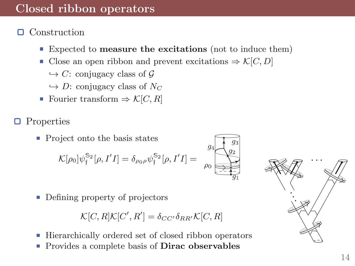#### □ Construction

- Expected to measure the excitations (not to induce them)
- Close an open ribbon and prevent excitations  $\Rightarrow$  K[C, D]
	- $\hookrightarrow$  C: conjugacy class of G
	- $\hookrightarrow$  D: conjugacy class of N<sub>C</sub>
- Fourier transform  $\Rightarrow$   $\mathcal{K}[C, R]$
- Properties О
	- **Project onto the basis states**

$$
\mathcal{K}[\rho_0]\psi_{\mathfrak{f}}^{\mathbb{S}_2}[\rho, I'I] = \delta_{\rho_0\rho}\psi_{\mathfrak{f}}^{\mathbb{S}_2}[\rho, I'I] = \bigcap_{\rho_0}^{\mathcal{Y}_4} \mathbb{S}_2^{\mathbb{S}_2}
$$

■ Defining property of projectors

$$
\mathcal{K}[C,R]\mathcal{K}[C',R']=\delta_{CC'}\delta_{RR'}\mathcal{K}[C,R]
$$

- Hierarchically ordered set of closed ribbon operators
- Provides a complete basis of Dirac observables



 $q_3$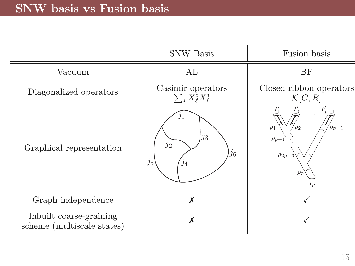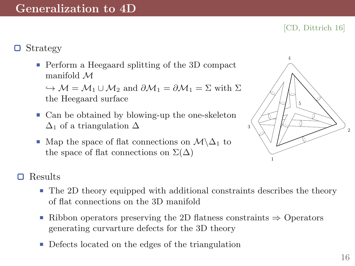[CD, Dittrich 16]

■ Perform a Heegaard splitting of the 3D compact manifold M

 $\hookrightarrow \mathcal{M} = \mathcal{M}_1 \cup \mathcal{M}_2$  and  $\partial \mathcal{M}_1 = \partial \mathcal{M}_1 = \Sigma$  with  $\Sigma$ the Heegaard surface

- Can be obtained by blowing-up the one-skeleton  $\Delta_1$  of a triangulation  $\Delta$
- Map the space of flat connections on  $\mathcal{M}\backslash \Delta_1$  to the space of flat connections on  $\Sigma(\Delta)$



#### Results

- The 2D theory equipped with additional constraints describes the theory of flat connections on the 3D manifold
- Ribbon operators preserving the 2D flatness constraints  $\Rightarrow$  Operators generating curvarture defects for the 3D theory
- Defects located on the edges of the triangulation Ħ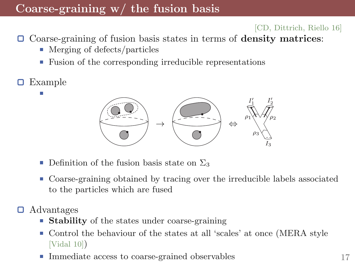# Coarse-graining w/ the fusion basis

[CD, Dittrich, Riello 16]

- $\Box$  Coarse-graining of fusion basis states in terms of **density matrices**:
	- Merging of defects/particles
	- Fusion of the corresponding irreducible representations
- Example



- Definition of the fusion basis state on  $\Sigma_3$ Ш
- Coarse-graining obtained by tracing over the irreducible labels associated to the particles which are fused
- Advantages o
	- Stability of the states under coarse-graining
	- Control the behaviour of the states at all 'scales' at once (MERA style Ħ [Vidal 10])
	- Immediate access to coarse-grained observables 17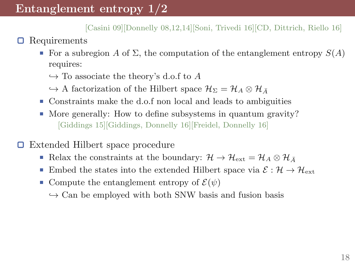[Casini 09][Donnelly 08,12,14][Soni, Trivedi 16][CD, Dittrich, Riello 16]

- Requirements 0
	- For a subregion A of  $\Sigma$ , the computation of the entanglement entropy  $S(A)$ requires:
		- $\hookrightarrow$  To associate the theory's d.o.f to A
		- $\hookrightarrow$  A factorization of the Hilbert space  $\mathcal{H}_{\Sigma} = \mathcal{H}_{A} \otimes \mathcal{H}_{\bar{A}}$
	- Constraints make the d.o.f non local and leads to ambiguities
	- $\blacksquare$  More generally: How to define subsystems in quantum gravity? [Giddings 15][Giddings, Donnelly 16][Freidel, Donnelly 16]
- о Extended Hilbert space procedure
	- Relax the constraints at the boundary:  $\mathcal{H} \to \mathcal{H}_{ext} = \mathcal{H}_A \otimes \mathcal{H}_{\bar{A}}$ Ш
	- Embed the states into the extended Hilbert space via  $\mathcal{E}: \mathcal{H} \to \mathcal{H}_{ext}$ Ш
	- Compute the entanglement entropy of  $\mathcal{E}(\psi)$ 
		- $\hookrightarrow$  Can be employed with both SNW basis and fusion basis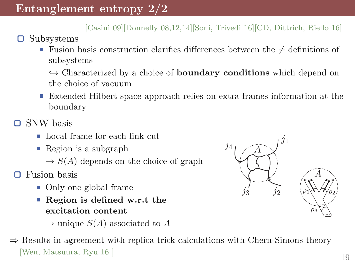[Casini 09][Donnelly 08,12,14][Soni, Trivedi 16][CD, Dittrich, Riello 16]

- Subsystems 0
	- Fusion basis construction clarifies differences between the  $\neq$  definitions of subsystems

 $\hookrightarrow$  Characterized by a choice of **boundary conditions** which depend on the choice of vacuum

Extended Hilbert space approach relies on extra frames information at the boundary

■ SNW basis

- Local frame for each link cut
- Region is a subgraph
	- $\rightarrow S(A)$  depends on the choice of graph

Fusion basis

- Only one global frame
- Region is defined w.r.t the excitation content

 $\rightarrow$  unique  $S(A)$  associated to A

 $\Rightarrow$  Results in agreement with replica trick calculations with Chern-Simons theory [Wen, Matsuura, Ryu 16 ] 19